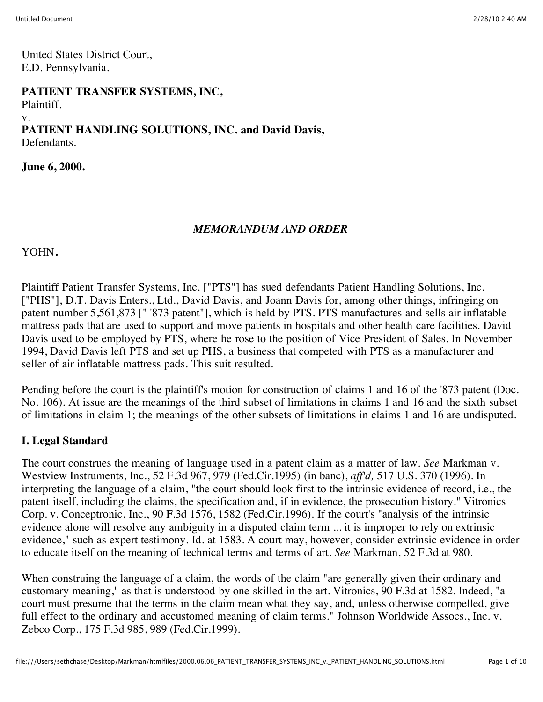United States District Court, E.D. Pennsylvania.

**PATIENT TRANSFER SYSTEMS, INC,**

Plaintiff.

#### v.

**PATIENT HANDLING SOLUTIONS, INC. and David Davis,** Defendants.

**June 6, 2000.**

## *MEMORANDUM AND ORDER*

YOHN**.**

Plaintiff Patient Transfer Systems, Inc. ["PTS"] has sued defendants Patient Handling Solutions, Inc. ["PHS"], D.T. Davis Enters., Ltd., David Davis, and Joann Davis for, among other things, infringing on patent number 5,561,873 [" '873 patent"], which is held by PTS. PTS manufactures and sells air inflatable mattress pads that are used to support and move patients in hospitals and other health care facilities. David Davis used to be employed by PTS, where he rose to the position of Vice President of Sales. In November 1994, David Davis left PTS and set up PHS, a business that competed with PTS as a manufacturer and seller of air inflatable mattress pads. This suit resulted.

Pending before the court is the plaintiff's motion for construction of claims 1 and 16 of the '873 patent (Doc. No. 106). At issue are the meanings of the third subset of limitations in claims 1 and 16 and the sixth subset of limitations in claim 1; the meanings of the other subsets of limitations in claims 1 and 16 are undisputed.

## **I. Legal Standard**

The court construes the meaning of language used in a patent claim as a matter of law. *See* Markman v. Westview Instruments, Inc., 52 F.3d 967, 979 (Fed.Cir.1995) (in banc), *aff'd,* 517 U.S. 370 (1996). In interpreting the language of a claim, "the court should look first to the intrinsic evidence of record, i.e., the patent itself, including the claims, the specification and, if in evidence, the prosecution history." Vitronics Corp. v. Conceptronic, Inc., 90 F.3d 1576, 1582 (Fed.Cir.1996). If the court's "analysis of the intrinsic evidence alone will resolve any ambiguity in a disputed claim term ... it is improper to rely on extrinsic evidence," such as expert testimony. Id. at 1583. A court may, however, consider extrinsic evidence in order to educate itself on the meaning of technical terms and terms of art. *See* Markman, 52 F.3d at 980.

When construing the language of a claim, the words of the claim "are generally given their ordinary and customary meaning," as that is understood by one skilled in the art. Vitronics, 90 F.3d at 1582. Indeed, "a court must presume that the terms in the claim mean what they say, and, unless otherwise compelled, give full effect to the ordinary and accustomed meaning of claim terms." Johnson Worldwide Assocs., Inc. v. Zebco Corp., 175 F.3d 985, 989 (Fed.Cir.1999).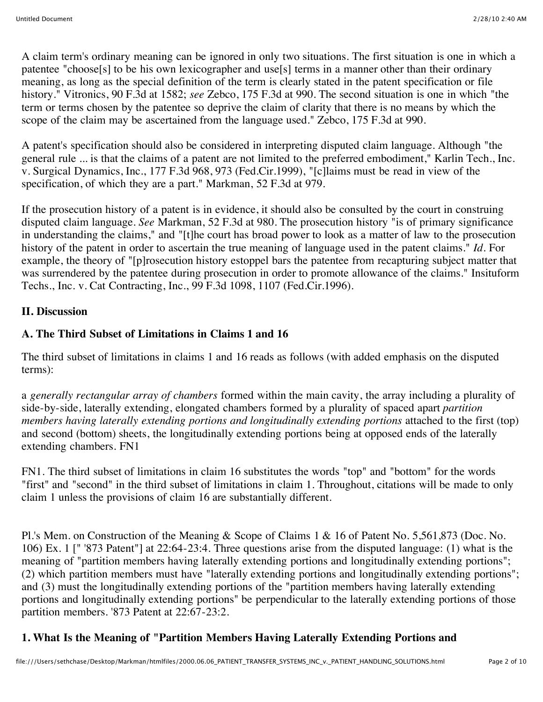A claim term's ordinary meaning can be ignored in only two situations. The first situation is one in which a patentee "choose[s] to be his own lexicographer and use[s] terms in a manner other than their ordinary meaning, as long as the special definition of the term is clearly stated in the patent specification or file history." Vitronics, 90 F.3d at 1582; *see* Zebco, 175 F.3d at 990. The second situation is one in which "the term or terms chosen by the patentee so deprive the claim of clarity that there is no means by which the scope of the claim may be ascertained from the language used." Zebco, 175 F.3d at 990.

A patent's specification should also be considered in interpreting disputed claim language. Although "the general rule ... is that the claims of a patent are not limited to the preferred embodiment," Karlin Tech., Inc. v. Surgical Dynamics, Inc., 177 F.3d 968, 973 (Fed.Cir.1999), "[c]laims must be read in view of the specification, of which they are a part." Markman, 52 F.3d at 979.

If the prosecution history of a patent is in evidence, it should also be consulted by the court in construing disputed claim language. *See* Markman, 52 F.3d at 980. The prosecution history "is of primary significance in understanding the claims," and "[t]he court has broad power to look as a matter of law to the prosecution history of the patent in order to ascertain the true meaning of language used in the patent claims." *Id.* For example, the theory of "[p]rosecution history estoppel bars the patentee from recapturing subject matter that was surrendered by the patentee during prosecution in order to promote allowance of the claims." Insituform Techs., Inc. v. Cat Contracting, Inc., 99 F.3d 1098, 1107 (Fed.Cir.1996).

#### **II. Discussion**

# **A. The Third Subset of Limitations in Claims 1 and 16**

The third subset of limitations in claims 1 and 16 reads as follows (with added emphasis on the disputed terms):

a *generally rectangular array of chambers* formed within the main cavity, the array including a plurality of side-by-side, laterally extending, elongated chambers formed by a plurality of spaced apart *partition members having laterally extending portions and longitudinally extending portions* attached to the first (top) and second (bottom) sheets, the longitudinally extending portions being at opposed ends of the laterally extending chambers. FN1

FN1. The third subset of limitations in claim 16 substitutes the words "top" and "bottom" for the words "first" and "second" in the third subset of limitations in claim 1. Throughout, citations will be made to only claim 1 unless the provisions of claim 16 are substantially different.

Pl.'s Mem. on Construction of the Meaning & Scope of Claims 1 & 16 of Patent No. 5,561,873 (Doc. No. 106) Ex. 1 [" '873 Patent"] at 22:64-23:4. Three questions arise from the disputed language: (1) what is the meaning of "partition members having laterally extending portions and longitudinally extending portions"; (2) which partition members must have "laterally extending portions and longitudinally extending portions"; and (3) must the longitudinally extending portions of the "partition members having laterally extending portions and longitudinally extending portions" be perpendicular to the laterally extending portions of those partition members. '873 Patent at 22:67-23:2.

# **1. What Is the Meaning of "Partition Members Having Laterally Extending Portions and**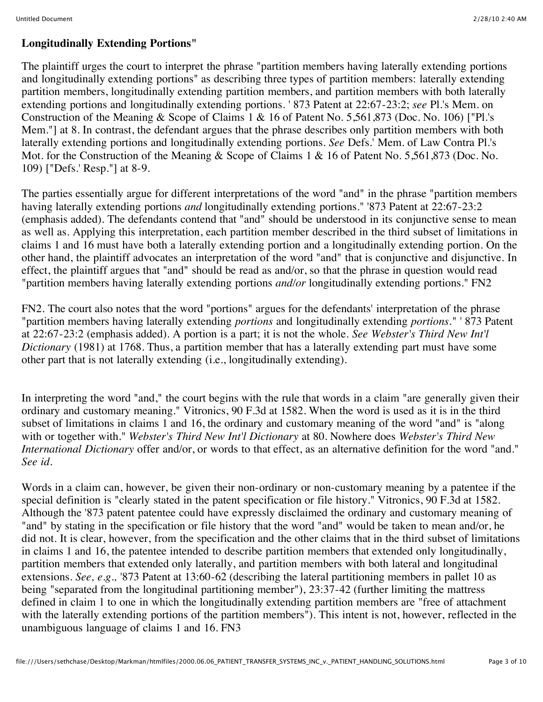#### **Longitudinally Extending Portions"**

The plaintiff urges the court to interpret the phrase "partition members having laterally extending portions and longitudinally extending portions" as describing three types of partition members: laterally extending partition members, longitudinally extending partition members, and partition members with both laterally extending portions and longitudinally extending portions. ' 873 Patent at 22:67-23:2; *see* Pl.'s Mem. on Construction of the Meaning & Scope of Claims 1 & 16 of Patent No. 5,561,873 (Doc. No. 106) ["Pl.'s Mem."] at 8. In contrast, the defendant argues that the phrase describes only partition members with both laterally extending portions and longitudinally extending portions. *See* Defs.' Mem. of Law Contra Pl.'s Mot. for the Construction of the Meaning & Scope of Claims 1 & 16 of Patent No. 5,561,873 (Doc. No. 109) ["Defs.' Resp."] at 8-9.

The parties essentially argue for different interpretations of the word "and" in the phrase "partition members having laterally extending portions *and* longitudinally extending portions." '873 Patent at 22:67-23:2 (emphasis added). The defendants contend that "and" should be understood in its conjunctive sense to mean as well as. Applying this interpretation, each partition member described in the third subset of limitations in claims 1 and 16 must have both a laterally extending portion and a longitudinally extending portion. On the other hand, the plaintiff advocates an interpretation of the word "and" that is conjunctive and disjunctive. In effect, the plaintiff argues that "and" should be read as and/or, so that the phrase in question would read "partition members having laterally extending portions *and/or* longitudinally extending portions." FN2

FN2. The court also notes that the word "portions" argues for the defendants' interpretation of the phrase "partition members having laterally extending *portions* and longitudinally extending *portions.*" ' 873 Patent at 22:67-23:2 (emphasis added). A portion is a part; it is not the whole. *See Webster's Third New Int'l Dictionary* (1981) at 1768. Thus, a partition member that has a laterally extending part must have some other part that is not laterally extending (i.e., longitudinally extending).

In interpreting the word "and," the court begins with the rule that words in a claim "are generally given their ordinary and customary meaning." Vitronics, 90 F.3d at 1582. When the word is used as it is in the third subset of limitations in claims 1 and 16, the ordinary and customary meaning of the word "and" is "along with or together with." *Webster's Third New Int'l Dictionary* at 80. Nowhere does *Webster's Third New International Dictionary* offer and/or, or words to that effect, as an alternative definition for the word "and." *See id.*

Words in a claim can, however, be given their non-ordinary or non-customary meaning by a patentee if the special definition is "clearly stated in the patent specification or file history." Vitronics, 90 F.3d at 1582. Although the '873 patent patentee could have expressly disclaimed the ordinary and customary meaning of "and" by stating in the specification or file history that the word "and" would be taken to mean and/or, he did not. It is clear, however, from the specification and the other claims that in the third subset of limitations in claims 1 and 16, the patentee intended to describe partition members that extended only longitudinally, partition members that extended only laterally, and partition members with both lateral and longitudinal extensions. *See, e.g.,* '873 Patent at 13:60-62 (describing the lateral partitioning members in pallet 10 as being "separated from the longitudinal partitioning member"), 23:37-42 (further limiting the mattress defined in claim 1 to one in which the longitudinally extending partition members are "free of attachment with the laterally extending portions of the partition members"). This intent is not, however, reflected in the unambiguous language of claims 1 and 16. FN3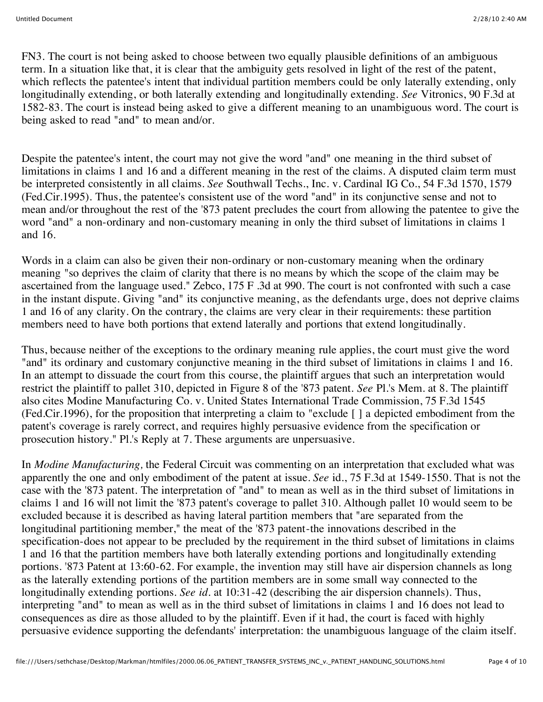FN3. The court is not being asked to choose between two equally plausible definitions of an ambiguous term. In a situation like that, it is clear that the ambiguity gets resolved in light of the rest of the patent, which reflects the patentee's intent that individual partition members could be only laterally extending, only longitudinally extending, or both laterally extending and longitudinally extending. *See* Vitronics, 90 F.3d at 1582-83. The court is instead being asked to give a different meaning to an unambiguous word. The court is being asked to read "and" to mean and/or.

Despite the patentee's intent, the court may not give the word "and" one meaning in the third subset of limitations in claims 1 and 16 and a different meaning in the rest of the claims. A disputed claim term must be interpreted consistently in all claims. *See* Southwall Techs., Inc. v. Cardinal IG Co., 54 F.3d 1570, 1579 (Fed.Cir.1995). Thus, the patentee's consistent use of the word "and" in its conjunctive sense and not to mean and/or throughout the rest of the '873 patent precludes the court from allowing the patentee to give the word "and" a non-ordinary and non-customary meaning in only the third subset of limitations in claims 1 and 16.

Words in a claim can also be given their non-ordinary or non-customary meaning when the ordinary meaning "so deprives the claim of clarity that there is no means by which the scope of the claim may be ascertained from the language used." Zebco, 175 F .3d at 990. The court is not confronted with such a case in the instant dispute. Giving "and" its conjunctive meaning, as the defendants urge, does not deprive claims 1 and 16 of any clarity. On the contrary, the claims are very clear in their requirements: these partition members need to have both portions that extend laterally and portions that extend longitudinally.

Thus, because neither of the exceptions to the ordinary meaning rule applies, the court must give the word "and" its ordinary and customary conjunctive meaning in the third subset of limitations in claims 1 and 16. In an attempt to dissuade the court from this course, the plaintiff argues that such an interpretation would restrict the plaintiff to pallet 310, depicted in Figure 8 of the '873 patent. *See* Pl.'s Mem. at 8. The plaintiff also cites Modine Manufacturing Co. v. United States International Trade Commission, 75 F.3d 1545 (Fed.Cir.1996), for the proposition that interpreting a claim to "exclude [ ] a depicted embodiment from the patent's coverage is rarely correct, and requires highly persuasive evidence from the specification or prosecution history." Pl.'s Reply at 7. These arguments are unpersuasive.

In *Modine Manufacturing,* the Federal Circuit was commenting on an interpretation that excluded what was apparently the one and only embodiment of the patent at issue. *See* id., 75 F.3d at 1549-1550. That is not the case with the '873 patent. The interpretation of "and" to mean as well as in the third subset of limitations in claims 1 and 16 will not limit the '873 patent's coverage to pallet 310. Although pallet 10 would seem to be excluded because it is described as having lateral partition members that "are separated from the longitudinal partitioning member," the meat of the '873 patent-the innovations described in the specification-does not appear to be precluded by the requirement in the third subset of limitations in claims 1 and 16 that the partition members have both laterally extending portions and longitudinally extending portions. '873 Patent at 13:60-62. For example, the invention may still have air dispersion channels as long as the laterally extending portions of the partition members are in some small way connected to the longitudinally extending portions. *See id.* at 10:31-42 (describing the air dispersion channels). Thus, interpreting "and" to mean as well as in the third subset of limitations in claims 1 and 16 does not lead to consequences as dire as those alluded to by the plaintiff. Even if it had, the court is faced with highly persuasive evidence supporting the defendants' interpretation: the unambiguous language of the claim itself.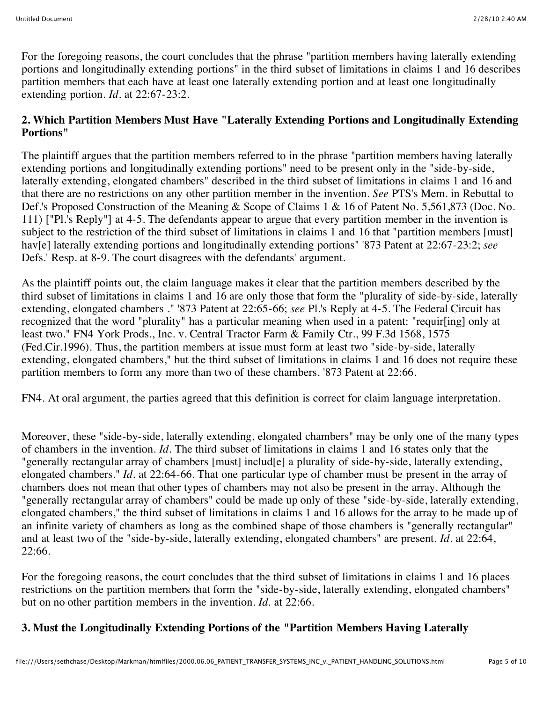For the foregoing reasons, the court concludes that the phrase "partition members having laterally extending portions and longitudinally extending portions" in the third subset of limitations in claims 1 and 16 describes partition members that each have at least one laterally extending portion and at least one longitudinally extending portion. *Id.* at 22:67-23:2.

#### **2. Which Partition Members Must Have "Laterally Extending Portions and Longitudinally Extending Portions"**

The plaintiff argues that the partition members referred to in the phrase "partition members having laterally extending portions and longitudinally extending portions" need to be present only in the "side-by-side, laterally extending, elongated chambers" described in the third subset of limitations in claims 1 and 16 and that there are no restrictions on any other partition member in the invention. *See* PTS's Mem. in Rebuttal to Def.'s Proposed Construction of the Meaning & Scope of Claims 1 & 16 of Patent No. 5,561,873 (Doc. No. 111) ["Pl.'s Reply"] at 4-5. The defendants appear to argue that every partition member in the invention is subject to the restriction of the third subset of limitations in claims 1 and 16 that "partition members [must] hav[e] laterally extending portions and longitudinally extending portions" '873 Patent at 22:67-23:2; *see* Defs.' Resp. at 8-9. The court disagrees with the defendants' argument.

As the plaintiff points out, the claim language makes it clear that the partition members described by the third subset of limitations in claims 1 and 16 are only those that form the "plurality of side-by-side, laterally extending, elongated chambers ." '873 Patent at 22:65-66; *see* Pl.'s Reply at 4-5. The Federal Circuit has recognized that the word "plurality" has a particular meaning when used in a patent: "requir[ing] only at least two." FN4 York Prods., Inc. v. Central Tractor Farm & Family Ctr., 99 F.3d 1568, 1575 (Fed.Cir.1996). Thus, the partition members at issue must form at least two "side-by-side, laterally extending, elongated chambers," but the third subset of limitations in claims 1 and 16 does not require these partition members to form any more than two of these chambers. '873 Patent at 22:66.

FN4. At oral argument, the parties agreed that this definition is correct for claim language interpretation.

Moreover, these "side-by-side, laterally extending, elongated chambers" may be only one of the many types of chambers in the invention. *Id.* The third subset of limitations in claims 1 and 16 states only that the "generally rectangular array of chambers [must] includ[e] a plurality of side-by-side, laterally extending, elongated chambers." *Id.* at 22:64-66. That one particular type of chamber must be present in the array of chambers does not mean that other types of chambers may not also be present in the array. Although the "generally rectangular array of chambers" could be made up only of these "side-by-side, laterally extending, elongated chambers," the third subset of limitations in claims 1 and 16 allows for the array to be made up of an infinite variety of chambers as long as the combined shape of those chambers is "generally rectangular" and at least two of the "side-by-side, laterally extending, elongated chambers" are present. *Id.* at 22:64, 22:66.

For the foregoing reasons, the court concludes that the third subset of limitations in claims 1 and 16 places restrictions on the partition members that form the "side-by-side, laterally extending, elongated chambers" but on no other partition members in the invention. *Id.* at 22:66.

## **3. Must the Longitudinally Extending Portions of the "Partition Members Having Laterally**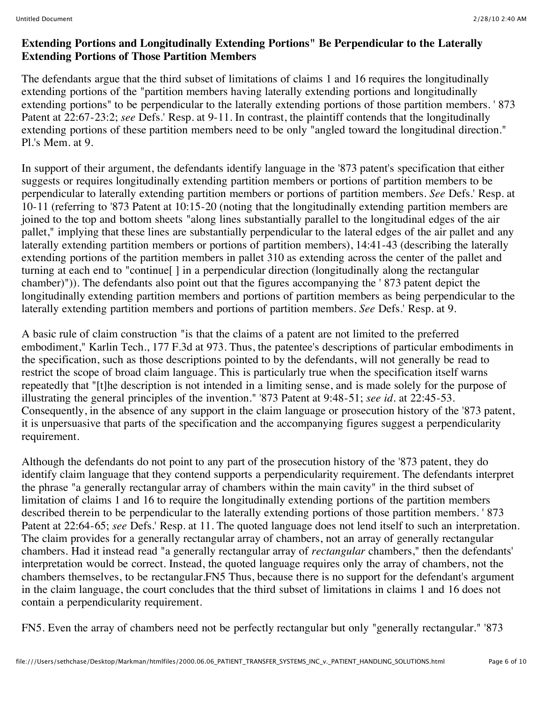#### **Extending Portions and Longitudinally Extending Portions" Be Perpendicular to the Laterally Extending Portions of Those Partition Members**

The defendants argue that the third subset of limitations of claims 1 and 16 requires the longitudinally extending portions of the "partition members having laterally extending portions and longitudinally extending portions" to be perpendicular to the laterally extending portions of those partition members. ' 873 Patent at 22:67-23:2; *see* Defs.' Resp. at 9-11. In contrast, the plaintiff contends that the longitudinally extending portions of these partition members need to be only "angled toward the longitudinal direction." Pl.'s Mem. at 9.

In support of their argument, the defendants identify language in the '873 patent's specification that either suggests or requires longitudinally extending partition members or portions of partition members to be perpendicular to laterally extending partition members or portions of partition members. *See* Defs.' Resp. at 10-11 (referring to '873 Patent at 10:15-20 (noting that the longitudinally extending partition members are joined to the top and bottom sheets "along lines substantially parallel to the longitudinal edges of the air pallet," implying that these lines are substantially perpendicular to the lateral edges of the air pallet and any laterally extending partition members or portions of partition members), 14:41-43 (describing the laterally extending portions of the partition members in pallet 310 as extending across the center of the pallet and turning at each end to "continue[ ] in a perpendicular direction (longitudinally along the rectangular chamber)")). The defendants also point out that the figures accompanying the ' 873 patent depict the longitudinally extending partition members and portions of partition members as being perpendicular to the laterally extending partition members and portions of partition members. *See* Defs.' Resp. at 9.

A basic rule of claim construction "is that the claims of a patent are not limited to the preferred embodiment," Karlin Tech., 177 F.3d at 973. Thus, the patentee's descriptions of particular embodiments in the specification, such as those descriptions pointed to by the defendants, will not generally be read to restrict the scope of broad claim language. This is particularly true when the specification itself warns repeatedly that "[t]he description is not intended in a limiting sense, and is made solely for the purpose of illustrating the general principles of the invention." '873 Patent at 9:48-51; *see id.* at 22:45-53. Consequently, in the absence of any support in the claim language or prosecution history of the '873 patent, it is unpersuasive that parts of the specification and the accompanying figures suggest a perpendicularity requirement.

Although the defendants do not point to any part of the prosecution history of the '873 patent, they do identify claim language that they contend supports a perpendicularity requirement. The defendants interpret the phrase "a generally rectangular array of chambers within the main cavity" in the third subset of limitation of claims 1 and 16 to require the longitudinally extending portions of the partition members described therein to be perpendicular to the laterally extending portions of those partition members. ' 873 Patent at 22:64-65; *see* Defs.' Resp. at 11. The quoted language does not lend itself to such an interpretation. The claim provides for a generally rectangular array of chambers, not an array of generally rectangular chambers. Had it instead read "a generally rectangular array of *rectangular* chambers," then the defendants' interpretation would be correct. Instead, the quoted language requires only the array of chambers, not the chambers themselves, to be rectangular.FN5 Thus, because there is no support for the defendant's argument in the claim language, the court concludes that the third subset of limitations in claims 1 and 16 does not contain a perpendicularity requirement.

FN5. Even the array of chambers need not be perfectly rectangular but only "generally rectangular." '873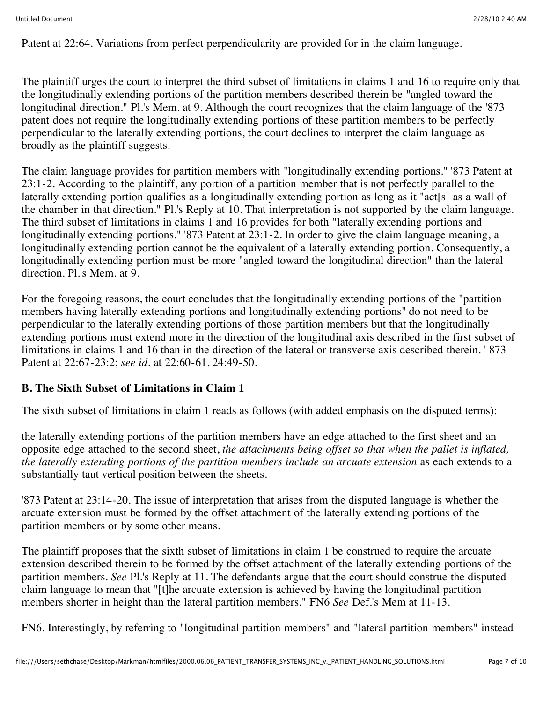Patent at 22:64. Variations from perfect perpendicularity are provided for in the claim language.

The plaintiff urges the court to interpret the third subset of limitations in claims 1 and 16 to require only that the longitudinally extending portions of the partition members described therein be "angled toward the longitudinal direction." Pl.'s Mem. at 9. Although the court recognizes that the claim language of the '873 patent does not require the longitudinally extending portions of these partition members to be perfectly perpendicular to the laterally extending portions, the court declines to interpret the claim language as broadly as the plaintiff suggests.

The claim language provides for partition members with "longitudinally extending portions." '873 Patent at 23:1-2. According to the plaintiff, any portion of a partition member that is not perfectly parallel to the laterally extending portion qualifies as a longitudinally extending portion as long as it "act[s] as a wall of the chamber in that direction." Pl.'s Reply at 10. That interpretation is not supported by the claim language. The third subset of limitations in claims 1 and 16 provides for both "laterally extending portions and longitudinally extending portions." '873 Patent at 23:1-2. In order to give the claim language meaning, a longitudinally extending portion cannot be the equivalent of a laterally extending portion. Consequently, a longitudinally extending portion must be more "angled toward the longitudinal direction" than the lateral direction. Pl.'s Mem. at 9.

For the foregoing reasons, the court concludes that the longitudinally extending portions of the "partition members having laterally extending portions and longitudinally extending portions" do not need to be perpendicular to the laterally extending portions of those partition members but that the longitudinally extending portions must extend more in the direction of the longitudinal axis described in the first subset of limitations in claims 1 and 16 than in the direction of the lateral or transverse axis described therein. '873 Patent at 22:67-23:2; *see id.* at 22:60-61, 24:49-50.

#### **B. The Sixth Subset of Limitations in Claim 1**

The sixth subset of limitations in claim 1 reads as follows (with added emphasis on the disputed terms):

the laterally extending portions of the partition members have an edge attached to the first sheet and an opposite edge attached to the second sheet, *the attachments being offset so that when the pallet is inflated, the laterally extending portions of the partition members include an arcuate extension* as each extends to a substantially taut vertical position between the sheets.

'873 Patent at 23:14-20. The issue of interpretation that arises from the disputed language is whether the arcuate extension must be formed by the offset attachment of the laterally extending portions of the partition members or by some other means.

The plaintiff proposes that the sixth subset of limitations in claim 1 be construed to require the arcuate extension described therein to be formed by the offset attachment of the laterally extending portions of the partition members. *See* Pl.'s Reply at 11. The defendants argue that the court should construe the disputed claim language to mean that "[t]he arcuate extension is achieved by having the longitudinal partition members shorter in height than the lateral partition members." FN6 *See* Def.'s Mem at 11-13.

FN6. Interestingly, by referring to "longitudinal partition members" and "lateral partition members" instead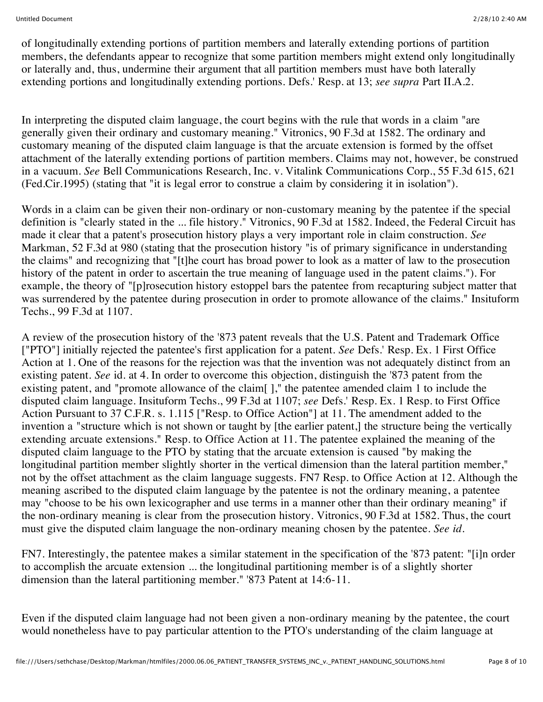of longitudinally extending portions of partition members and laterally extending portions of partition members, the defendants appear to recognize that some partition members might extend only longitudinally or laterally and, thus, undermine their argument that all partition members must have both laterally extending portions and longitudinally extending portions. Defs.' Resp. at 13; *see supra* Part II.A.2.

In interpreting the disputed claim language, the court begins with the rule that words in a claim "are generally given their ordinary and customary meaning." Vitronics, 90 F.3d at 1582. The ordinary and customary meaning of the disputed claim language is that the arcuate extension is formed by the offset attachment of the laterally extending portions of partition members. Claims may not, however, be construed in a vacuum. *See* Bell Communications Research, Inc. v. Vitalink Communications Corp., 55 F.3d 615, 621 (Fed.Cir.1995) (stating that "it is legal error to construe a claim by considering it in isolation").

Words in a claim can be given their non-ordinary or non-customary meaning by the patentee if the special definition is "clearly stated in the ... file history." Vitronics, 90 F.3d at 1582. Indeed, the Federal Circuit has made it clear that a patent's prosecution history plays a very important role in claim construction. *See* Markman, 52 F.3d at 980 (stating that the prosecution history "is of primary significance in understanding the claims" and recognizing that "[t]he court has broad power to look as a matter of law to the prosecution history of the patent in order to ascertain the true meaning of language used in the patent claims."). For example, the theory of "[p]rosecution history estoppel bars the patentee from recapturing subject matter that was surrendered by the patentee during prosecution in order to promote allowance of the claims." Insituform Techs., 99 F.3d at 1107.

A review of the prosecution history of the '873 patent reveals that the U.S. Patent and Trademark Office ["PTO"] initially rejected the patentee's first application for a patent. *See* Defs.' Resp. Ex. 1 First Office Action at 1. One of the reasons for the rejection was that the invention was not adequately distinct from an existing patent. *See* id. at 4. In order to overcome this objection, distinguish the '873 patent from the existing patent, and "promote allowance of the claim[ ]," the patentee amended claim 1 to include the disputed claim language. Insituform Techs., 99 F.3d at 1107; *see* Defs.' Resp. Ex. 1 Resp. to First Office Action Pursuant to 37 C.F.R. s. 1.115 ["Resp. to Office Action"] at 11. The amendment added to the invention a "structure which is not shown or taught by [the earlier patent,] the structure being the vertically extending arcuate extensions." Resp. to Office Action at 11. The patentee explained the meaning of the disputed claim language to the PTO by stating that the arcuate extension is caused "by making the longitudinal partition member slightly shorter in the vertical dimension than the lateral partition member," not by the offset attachment as the claim language suggests. FN7 Resp. to Office Action at 12. Although the meaning ascribed to the disputed claim language by the patentee is not the ordinary meaning, a patentee may "choose to be his own lexicographer and use terms in a manner other than their ordinary meaning" if the non-ordinary meaning is clear from the prosecution history. Vitronics, 90 F.3d at 1582. Thus, the court must give the disputed claim language the non-ordinary meaning chosen by the patentee. *See id.*

FN7. Interestingly, the patentee makes a similar statement in the specification of the '873 patent: "[i]n order to accomplish the arcuate extension ... the longitudinal partitioning member is of a slightly shorter dimension than the lateral partitioning member." '873 Patent at 14:6-11.

Even if the disputed claim language had not been given a non-ordinary meaning by the patentee, the court would nonetheless have to pay particular attention to the PTO's understanding of the claim language at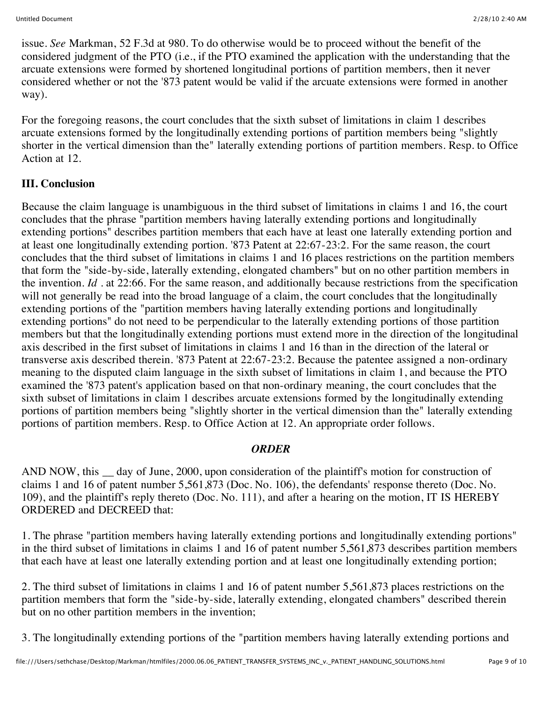issue. *See* Markman, 52 F.3d at 980. To do otherwise would be to proceed without the benefit of the considered judgment of the PTO (i.e., if the PTO examined the application with the understanding that the arcuate extensions were formed by shortened longitudinal portions of partition members, then it never considered whether or not the '873 patent would be valid if the arcuate extensions were formed in another way).

For the foregoing reasons, the court concludes that the sixth subset of limitations in claim 1 describes arcuate extensions formed by the longitudinally extending portions of partition members being "slightly shorter in the vertical dimension than the" laterally extending portions of partition members. Resp. to Office Action at 12.

#### **III. Conclusion**

Because the claim language is unambiguous in the third subset of limitations in claims 1 and 16, the court concludes that the phrase "partition members having laterally extending portions and longitudinally extending portions" describes partition members that each have at least one laterally extending portion and at least one longitudinally extending portion. '873 Patent at 22:67-23:2. For the same reason, the court concludes that the third subset of limitations in claims 1 and 16 places restrictions on the partition members that form the "side-by-side, laterally extending, elongated chambers" but on no other partition members in the invention. *Id .* at 22:66. For the same reason, and additionally because restrictions from the specification will not generally be read into the broad language of a claim, the court concludes that the longitudinally extending portions of the "partition members having laterally extending portions and longitudinally extending portions" do not need to be perpendicular to the laterally extending portions of those partition members but that the longitudinally extending portions must extend more in the direction of the longitudinal axis described in the first subset of limitations in claims 1 and 16 than in the direction of the lateral or transverse axis described therein. '873 Patent at 22:67-23:2. Because the patentee assigned a non-ordinary meaning to the disputed claim language in the sixth subset of limitations in claim 1, and because the PTO examined the '873 patent's application based on that non-ordinary meaning, the court concludes that the sixth subset of limitations in claim 1 describes arcuate extensions formed by the longitudinally extending portions of partition members being "slightly shorter in the vertical dimension than the" laterally extending portions of partition members. Resp. to Office Action at 12. An appropriate order follows.

#### *ORDER*

AND NOW, this day of June, 2000, upon consideration of the plaintiff's motion for construction of claims 1 and 16 of patent number 5,561,873 (Doc. No. 106), the defendants' response thereto (Doc. No. 109), and the plaintiff's reply thereto (Doc. No. 111), and after a hearing on the motion, IT IS HEREBY ORDERED and DECREED that:

1. The phrase "partition members having laterally extending portions and longitudinally extending portions" in the third subset of limitations in claims 1 and 16 of patent number 5,561,873 describes partition members that each have at least one laterally extending portion and at least one longitudinally extending portion;

2. The third subset of limitations in claims 1 and 16 of patent number 5,561,873 places restrictions on the partition members that form the "side-by-side, laterally extending, elongated chambers" described therein but on no other partition members in the invention;

3. The longitudinally extending portions of the "partition members having laterally extending portions and